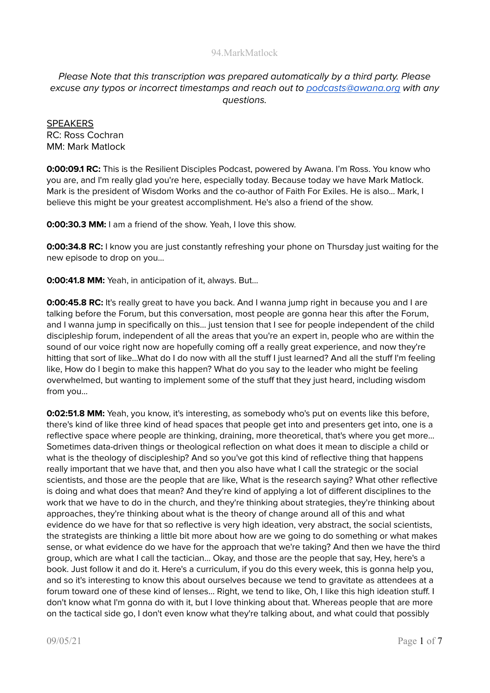# Please Note that this transcription was prepared automatically by a third party. Please excuse any typos or incorrect timestamps and reach out to [podcasts@awana.org](mailto:podcasts@awana.org) with any questions.

**SPEAKERS** RC: Ross Cochran MM: Mark Matlock

**0:00:09.1 RC:** This is the Resilient Disciples Podcast, powered by Awana. I'm Ross. You know who you are, and I'm really glad you're here, especially today. Because today we have Mark Matlock. Mark is the president of Wisdom Works and the co-author of Faith For Exiles. He is also... Mark, I believe this might be your greatest accomplishment. He's also a friend of the show.

**0:00:30.3 MM:** I am a friend of the show. Yeah, I love this show.

**0:00:34.8 RC:** I know you are just constantly refreshing your phone on Thursday just waiting for the new episode to drop on you...

**0:00:41.8 MM:** Yeah, in anticipation of it, always. But...

**0:00:45.8 RC:** It's really great to have you back. And I wanna jump right in because you and I are talking before the Forum, but this conversation, most people are gonna hear this after the Forum, and I wanna jump in specifically on this... just tension that I see for people independent of the child discipleship forum, independent of all the areas that you're an expert in, people who are within the sound of our voice right now are hopefully coming off a really great experience, and now they're hitting that sort of like...What do I do now with all the stuff I just learned? And all the stuff I'm feeling like, How do I begin to make this happen? What do you say to the leader who might be feeling overwhelmed, but wanting to implement some of the stuff that they just heard, including wisdom from you...

**0:02:51.8 MM:** Yeah, you know, it's interesting, as somebody who's put on events like this before, there's kind of like three kind of head spaces that people get into and presenters get into, one is a reflective space where people are thinking, draining, more theoretical, that's where you get more... Sometimes data-driven things or theological reflection on what does it mean to disciple a child or what is the theology of discipleship? And so you've got this kind of reflective thing that happens really important that we have that, and then you also have what I call the strategic or the social scientists, and those are the people that are like, What is the research saying? What other reflective is doing and what does that mean? And they're kind of applying a lot of different disciplines to the work that we have to do in the church, and they're thinking about strategies, they're thinking about approaches, they're thinking about what is the theory of change around all of this and what evidence do we have for that so reflective is very high ideation, very abstract, the social scientists, the strategists are thinking a little bit more about how are we going to do something or what makes sense, or what evidence do we have for the approach that we're taking? And then we have the third group, which are what I call the tactician… Okay, and those are the people that say, Hey, here's a book. Just follow it and do it. Here's a curriculum, if you do this every week, this is gonna help you, and so it's interesting to know this about ourselves because we tend to gravitate as attendees at a forum toward one of these kind of lenses... Right, we tend to like, Oh, I like this high ideation stuff. I don't know what I'm gonna do with it, but I love thinking about that. Whereas people that are more on the tactical side go, I don't even know what they're talking about, and what could that possibly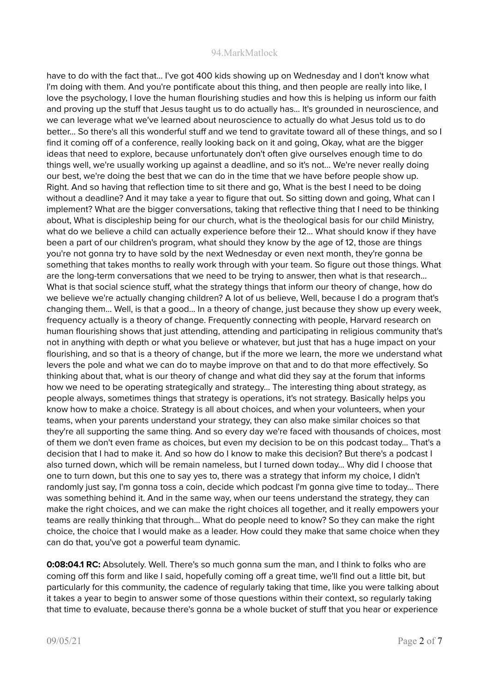have to do with the fact that... I've got 400 kids showing up on Wednesday and I don't know what I'm doing with them. And you're pontificate about this thing, and then people are really into like, I love the psychology, I love the human flourishing studies and how this is helping us inform our faith and proving up the stuff that Jesus taught us to do actually has... It's grounded in neuroscience, and we can leverage what we've learned about neuroscience to actually do what Jesus told us to do better... So there's all this wonderful stuff and we tend to gravitate toward all of these things, and so I find it coming off of a conference, really looking back on it and going, Okay, what are the bigger ideas that need to explore, because unfortunately don't often give ourselves enough time to do things well, we're usually working up against a deadline, and so it's not... We're never really doing our best, we're doing the best that we can do in the time that we have before people show up. Right. And so having that reflection time to sit there and go, What is the best I need to be doing without a deadline? And it may take a year to figure that out. So sitting down and going, What can I implement? What are the bigger conversations, taking that reflective thing that I need to be thinking about, What is discipleship being for our church, what is the theological basis for our child Ministry, what do we believe a child can actually experience before their 12... What should know if they have been a part of our children's program, what should they know by the age of 12, those are things you're not gonna try to have sold by the next Wednesday or even next month, they're gonna be something that takes months to really work through with your team. So figure out those things. What are the long-term conversations that we need to be trying to answer, then what is that research... What is that social science stuff, what the strategy things that inform our theory of change, how do we believe we're actually changing children? A lot of us believe, Well, because I do a program that's changing them... Well, is that a good... In a theory of change, just because they show up every week, frequency actually is a theory of change. Frequently connecting with people, Harvard research on human flourishing shows that just attending, attending and participating in religious community that's not in anything with depth or what you believe or whatever, but just that has a huge impact on your flourishing, and so that is a theory of change, but if the more we learn, the more we understand what levers the pole and what we can do to maybe improve on that and to do that more effectively. So thinking about that, what is our theory of change and what did they say at the forum that informs how we need to be operating strategically and strategy... The interesting thing about strategy, as people always, sometimes things that strategy is operations, it's not strategy. Basically helps you know how to make a choice. Strategy is all about choices, and when your volunteers, when your teams, when your parents understand your strategy, they can also make similar choices so that they're all supporting the same thing. And so every day we're faced with thousands of choices, most of them we don't even frame as choices, but even my decision to be on this podcast today... That's a decision that I had to make it. And so how do I know to make this decision? But there's a podcast I also turned down, which will be remain nameless, but I turned down today... Why did I choose that one to turn down, but this one to say yes to, there was a strategy that inform my choice, I didn't randomly just say, I'm gonna toss a coin, decide which podcast I'm gonna give time to today... There was something behind it. And in the same way, when our teens understand the strategy, they can make the right choices, and we can make the right choices all together, and it really empowers your teams are really thinking that through... What do people need to know? So they can make the right choice, the choice that I would make as a leader. How could they make that same choice when they can do that, you've got a powerful team dynamic.

**0:08:04.1 RC:** Absolutely. Well. There's so much gonna sum the man, and I think to folks who are coming off this form and like I said, hopefully coming off a great time, we'll find out a little bit, but particularly for this community, the cadence of regularly taking that time, like you were talking about it takes a year to begin to answer some of those questions within their context, so regularly taking that time to evaluate, because there's gonna be a whole bucket of stuff that you hear or experience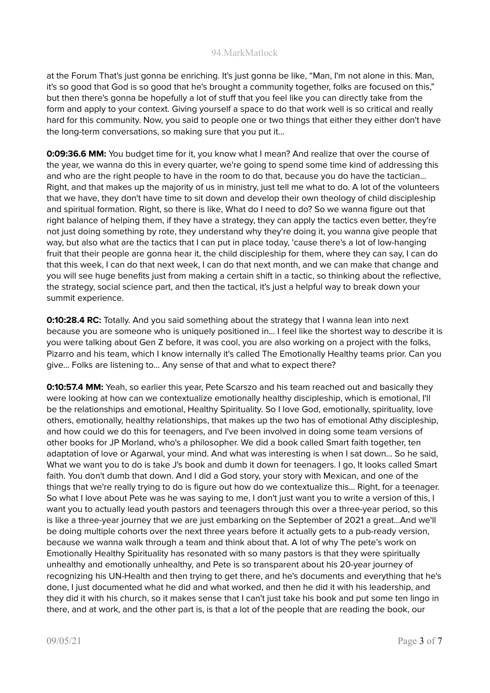at the Forum That's just gonna be enriching. It's just gonna be like, "Man, I'm not alone in this. Man, it's so good that God is so good that he's brought a community together, folks are focused on this," but then there's gonna be hopefully a lot of stuff that you feel like you can directly take from the form and apply to your context. Giving yourself a space to do that work well is so critical and really hard for this community. Now, you said to people one or two things that either they either don't have the long-term conversations, so making sure that you put it...

**0:09:36.6 MM:** You budget time for it, you know what I mean? And realize that over the course of the year, we wanna do this in every quarter, we're going to spend some time kind of addressing this and who are the right people to have in the room to do that, because you do have the tactician... Right, and that makes up the majority of us in ministry, just tell me what to do. A lot of the volunteers that we have, they don't have time to sit down and develop their own theology of child discipleship and spiritual formation. Right, so there is like, What do I need to do? So we wanna figure out that right balance of helping them, if they have a strategy, they can apply the tactics even better, they're not just doing something by rote, they understand why they're doing it, you wanna give people that way, but also what are the tactics that I can put in place today, 'cause there's a lot of low-hanging fruit that their people are gonna hear it, the child discipleship for them, where they can say, I can do that this week, I can do that next week, I can do that next month, and we can make that change and you will see huge benefits just from making a certain shift in a tactic, so thinking about the reflective, the strategy, social science part, and then the tactical, it's just a helpful way to break down your summit experience.

**0:10:28.4 RC:** Totally. And you said something about the strategy that I wanna lean into next because you are someone who is uniquely positioned in... I feel like the shortest way to describe it is you were talking about Gen Z before, it was cool, you are also working on a project with the folks, Pizarro and his team, which I know internally it's called The Emotionally Healthy teams prior. Can you give... Folks are listening to... Any sense of that and what to expect there?

**0:10:57.4 MM:** Yeah, so earlier this year, Pete Scarszo and his team reached out and basically they were looking at how can we contextualize emotionally healthy discipleship, which is emotional, I'll be the relationships and emotional, Healthy Spirituality. So I love God, emotionally, spirituality, love others, emotionally, healthy relationships, that makes up the two has of emotional Athy discipleship, and how could we do this for teenagers, and I've been involved in doing some team versions of other books for JP Morland, who's a philosopher. We did a book called Smart faith together, ten adaptation of love or Agarwal, your mind. And what was interesting is when I sat down... So he said, What we want you to do is take J's book and dumb it down for teenagers. I go, It looks called Smart faith. You don't dumb that down. And I did a God story, your story with Mexican, and one of the things that we're really trying to do is figure out how do we contextualize this... Right, for a teenager. So what I love about Pete was he was saying to me, I don't just want you to write a version of this, I want you to actually lead youth pastors and teenagers through this over a three-year period, so this is like a three-year journey that we are just embarking on the September of 2021 a great...And we'll be doing multiple cohorts over the next three years before it actually gets to a pub-ready version, because we wanna walk through a team and think about that. A lot of why The pete's work on Emotionally Healthy Spirituality has resonated with so many pastors is that they were spiritually unhealthy and emotionally unhealthy, and Pete is so transparent about his 20-year journey of recognizing his UN-Health and then trying to get there, and he's documents and everything that he's done, I just documented what he did and what worked, and then he did it with his leadership, and they did it with his church, so it makes sense that I can't just take his book and put some ten lingo in there, and at work, and the other part is, is that a lot of the people that are reading the book, our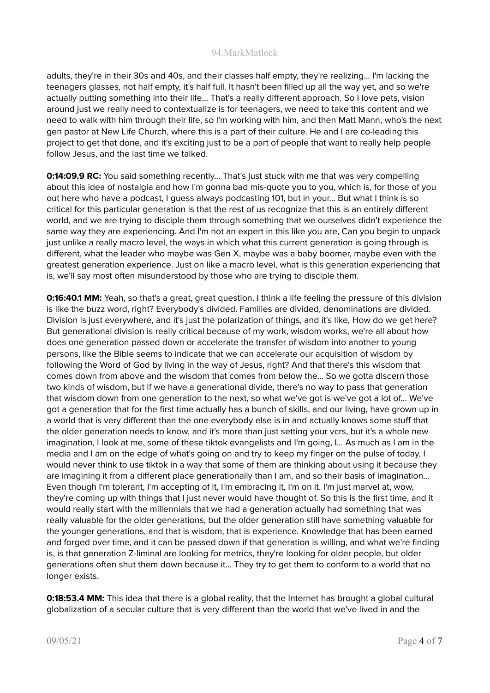adults, they're in their 30s and 40s, and their classes half empty, they're realizing... I'm lacking the teenagers glasses, not half empty, it's half full. It hasn't been filled up all the way yet, and so we're actually putting something into their life... That's a really different approach. So I love pets, vision around just we really need to contextualize is for teenagers, we need to take this content and we need to walk with him through their life, so I'm working with him, and then Matt Mann, who's the next gen pastor at New Life Church, where this is a part of their culture. He and I are co-leading this project to get that done, and it's exciting just to be a part of people that want to really help people follow Jesus, and the last time we talked.

**0:14:09.9 RC:** You said something recently... That's just stuck with me that was very compelling about this idea of nostalgia and how I'm gonna bad mis-quote you to you, which is, for those of you out here who have a podcast, I guess always podcasting 101, but in your... But what I think is so critical for this particular generation is that the rest of us recognize that this is an entirely different world, and we are trying to disciple them through something that we ourselves didn't experience the same way they are experiencing. And I'm not an expert in this like you are, Can you begin to unpack just unlike a really macro level, the ways in which what this current generation is going through is different, what the leader who maybe was Gen X, maybe was a baby boomer, maybe even with the greatest generation experience. Just on like a macro level, what is this generation experiencing that is, we'll say most often misunderstood by those who are trying to disciple them.

**0:16:40.1 MM:** Yeah, so that's a great, great question. I think a life feeling the pressure of this division is like the buzz word, right? Everybody's divided. Families are divided, denominations are divided. Division is just everywhere, and it's just the polarization of things, and it's like, How do we get here? But generational division is really critical because of my work, wisdom works, we're all about how does one generation passed down or accelerate the transfer of wisdom into another to young persons, like the Bible seems to indicate that we can accelerate our acquisition of wisdom by following the Word of God by living in the way of Jesus, right? And that there's this wisdom that comes down from above and the wisdom that comes from below the... So we gotta discern those two kinds of wisdom, but if we have a generational divide, there's no way to pass that generation that wisdom down from one generation to the next, so what we've got is we've got a lot of... We've got a generation that for the first time actually has a bunch of skills, and our living, have grown up in a world that is very different than the one everybody else is in and actually knows some stuff that the older generation needs to know, and it's more than just setting your vcrs, but it's a whole new imagination, I look at me, some of these tiktok evangelists and I'm going, I… As much as I am in the media and I am on the edge of what's going on and try to keep my finger on the pulse of today, I would never think to use tiktok in a way that some of them are thinking about using it because they are imagining it from a different place generationally than I am, and so their basis of imagination... Even though I'm tolerant, I'm accepting of it, I'm embracing it, I'm on it. I'm just marvel at, wow, they're coming up with things that I just never would have thought of. So this is the first time, and it would really start with the millennials that we had a generation actually had something that was really valuable for the older generations, but the older generation still have something valuable for the younger generations, and that is wisdom, that is experience. Knowledge that has been earned and forged over time, and it can be passed down if that generation is willing, and what we're finding is, is that generation Z-liminal are looking for metrics, they're looking for older people, but older generations often shut them down because it... They try to get them to conform to a world that no longer exists.

**0:18:53.4 MM:** This idea that there is a global reality, that the Internet has brought a global cultural globalization of a secular culture that is very different than the world that we've lived in and the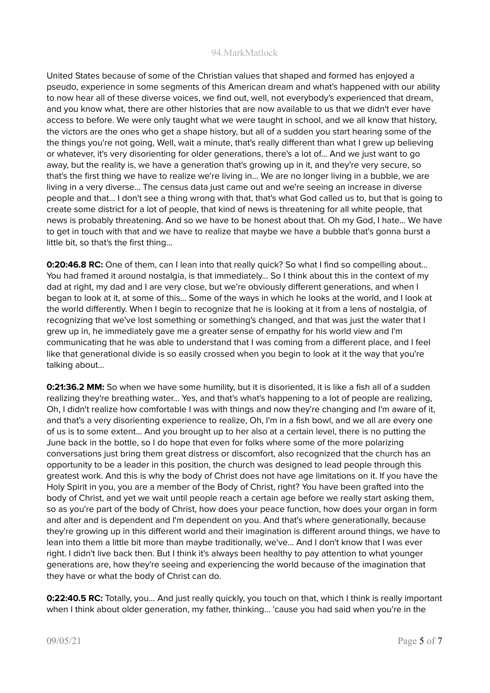United States because of some of the Christian values that shaped and formed has enjoyed a pseudo, experience in some segments of this American dream and what's happened with our ability to now hear all of these diverse voices, we find out, well, not everybody's experienced that dream, and you know what, there are other histories that are now available to us that we didn't ever have access to before. We were only taught what we were taught in school, and we all know that history, the victors are the ones who get a shape history, but all of a sudden you start hearing some of the the things you're not going, Well, wait a minute, that's really different than what I grew up believing or whatever, it's very disorienting for older generations, there's a lot of... And we just want to go away, but the reality is, we have a generation that's growing up in it, and they're very secure, so that's the first thing we have to realize we're living in… We are no longer living in a bubble, we are living in a very diverse... The census data just came out and we're seeing an increase in diverse people and that... I don't see a thing wrong with that, that's what God called us to, but that is going to create some district for a lot of people, that kind of news is threatening for all white people, that news is probably threatening. And so we have to be honest about that. Oh my God, I hate... We have to get in touch with that and we have to realize that maybe we have a bubble that's gonna burst a little bit, so that's the first thing...

**0:20:46.8 RC:** One of them, can I lean into that really quick? So what I find so compelling about... You had framed it around nostalgia, is that immediately... So I think about this in the context of my dad at right, my dad and I are very close, but we're obviously different generations, and when I began to look at it, at some of this... Some of the ways in which he looks at the world, and I look at the world differently. When I begin to recognize that he is looking at it from a lens of nostalgia, of recognizing that we've lost something or something's changed, and that was just the water that I grew up in, he immediately gave me a greater sense of empathy for his world view and I'm communicating that he was able to understand that I was coming from a different place, and I feel like that generational divide is so easily crossed when you begin to look at it the way that you're talking about...

**0:21:36.2 MM:** So when we have some humility, but it is disoriented, it is like a fish all of a sudden realizing they're breathing water... Yes, and that's what's happening to a lot of people are realizing, Oh, I didn't realize how comfortable I was with things and now they're changing and I'm aware of it, and that's a very disorienting experience to realize, Oh, I'm in a fish bowl, and we all are every one of us is to some extent... And you brought up to her also at a certain level, there is no putting the June back in the bottle, so I do hope that even for folks where some of the more polarizing conversations just bring them great distress or discomfort, also recognized that the church has an opportunity to be a leader in this position, the church was designed to lead people through this greatest work. And this is why the body of Christ does not have age limitations on it. If you have the Holy Spirit in you, you are a member of the Body of Christ, right? You have been grafted into the body of Christ, and yet we wait until people reach a certain age before we really start asking them, so as you're part of the body of Christ, how does your peace function, how does your organ in form and alter and is dependent and I'm dependent on you. And that's where generationally, because they're growing up in this different world and their imagination is different around things, we have to lean into them a little bit more than maybe traditionally, we've... And I don't know that I was ever right. I didn't live back then. But I think it's always been healthy to pay attention to what younger generations are, how they're seeing and experiencing the world because of the imagination that they have or what the body of Christ can do.

**0:22:40.5 RC:** Totally, you... And just really quickly, you touch on that, which I think is really important when I think about older generation, my father, thinking... 'cause you had said when you're in the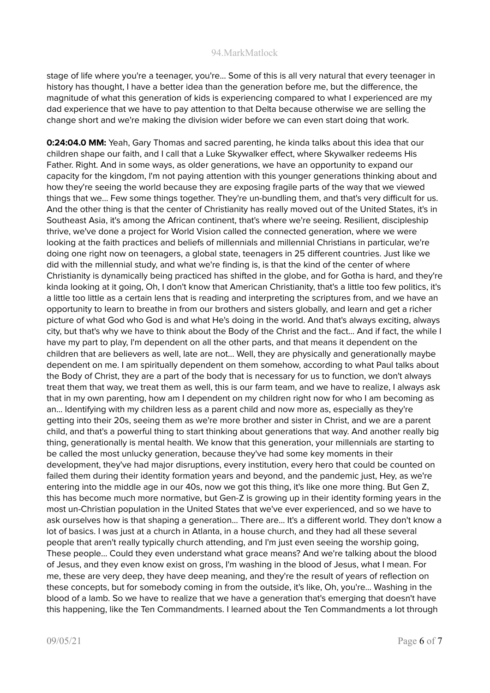stage of life where you're a teenager, you're... Some of this is all very natural that every teenager in history has thought, I have a better idea than the generation before me, but the difference, the magnitude of what this generation of kids is experiencing compared to what I experienced are my dad experience that we have to pay attention to that Delta because otherwise we are selling the change short and we're making the division wider before we can even start doing that work.

**0:24:04.0 MM:** Yeah, Gary Thomas and sacred parenting, he kinda talks about this idea that our children shape our faith, and I call that a Luke Skywalker effect, where Skywalker redeems His Father. Right. And in some ways, as older generations, we have an opportunity to expand our capacity for the kingdom, I'm not paying attention with this younger generations thinking about and how they're seeing the world because they are exposing fragile parts of the way that we viewed things that we... Few some things together. They're un-bundling them, and that's very difficult for us. And the other thing is that the center of Christianity has really moved out of the United States, it's in Southeast Asia, it's among the African continent, that's where we're seeing. Resilient, discipleship thrive, we've done a project for World Vision called the connected generation, where we were looking at the faith practices and beliefs of millennials and millennial Christians in particular, we're doing one right now on teenagers, a global state, teenagers in 25 different countries. Just like we did with the millennial study, and what we're finding is, is that the kind of the center of where Christianity is dynamically being practiced has shifted in the globe, and for Gotha is hard, and they're kinda looking at it going, Oh, I don't know that American Christianity, that's a little too few politics, it's a little too little as a certain lens that is reading and interpreting the scriptures from, and we have an opportunity to learn to breathe in from our brothers and sisters globally, and learn and get a richer picture of what God who God is and what He's doing in the world. And that's always exciting, always city, but that's why we have to think about the Body of the Christ and the fact... And if fact, the while I have my part to play, I'm dependent on all the other parts, and that means it dependent on the children that are believers as well, late are not... Well, they are physically and generationally maybe dependent on me. I am spiritually dependent on them somehow, according to what Paul talks about the Body of Christ, they are a part of the body that is necessary for us to function, we don't always treat them that way, we treat them as well, this is our farm team, and we have to realize, I always ask that in my own parenting, how am I dependent on my children right now for who I am becoming as an... Identifying with my children less as a parent child and now more as, especially as they're getting into their 20s, seeing them as we're more brother and sister in Christ, and we are a parent child, and that's a powerful thing to start thinking about generations that way. And another really big thing, generationally is mental health. We know that this generation, your millennials are starting to be called the most unlucky generation, because they've had some key moments in their development, they've had major disruptions, every institution, every hero that could be counted on failed them during their identity formation years and beyond, and the pandemic just, Hey, as we're entering into the middle age in our 40s, now we got this thing, it's like one more thing. But Gen Z, this has become much more normative, but Gen-Z is growing up in their identity forming years in the most un-Christian population in the United States that we've ever experienced, and so we have to ask ourselves how is that shaping a generation... There are... It's a different world. They don't know a lot of basics. I was just at a church in Atlanta, in a house church, and they had all these several people that aren't really typically church attending, and I'm just even seeing the worship going, These people... Could they even understand what grace means? And we're talking about the blood of Jesus, and they even know exist on gross, I'm washing in the blood of Jesus, what I mean. For me, these are very deep, they have deep meaning, and they're the result of years of reflection on these concepts, but for somebody coming in from the outside, it's like, Oh, you're... Washing in the blood of a lamb. So we have to realize that we have a generation that's emerging that doesn't have this happening, like the Ten Commandments. I learned about the Ten Commandments a lot through